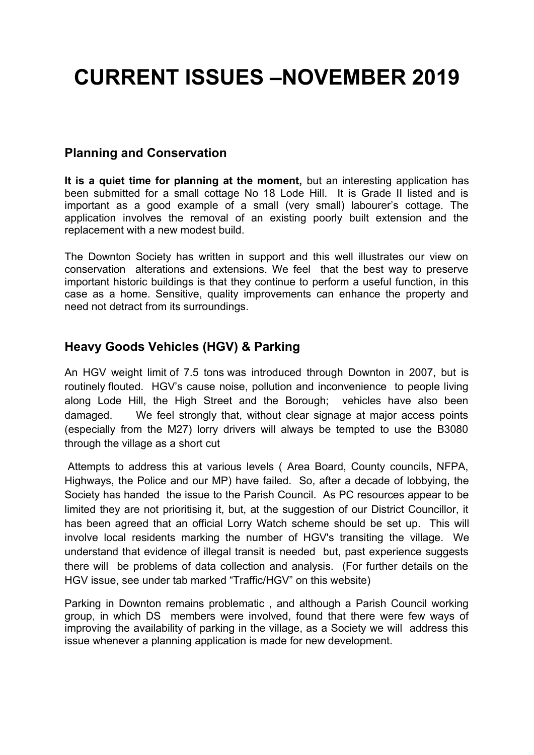# **CURRENT ISSUES –NOVEMBER 2019**

#### **Planning and Conservation**

**It is a quiet time for planning at the moment,** but an interesting application has been submitted for a small cottage No 18 Lode Hill. It is Grade II listed and is important as a good example of a small (very small) labourer's cottage. The application involves the removal of an existing poorly built extension and the replacement with a new modest build.

The Downton Society has written in support and this well illustrates our view on conservation alterations and extensions. We feel that the best way to preserve important historic buildings is that they continue to perform a useful function, in this case as a home. Sensitive, quality improvements can enhance the property and need not detract from its surroundings.

#### **Heavy Goods Vehicles (HGV) & Parking**

An HGV weight limit of 7.5 tons was introduced through Downton in 2007, but is routinely flouted. HGV's cause noise, pollution and inconvenience to people living along Lode Hill, the High Street and the Borough; vehicles have also been damaged. We feel strongly that, without clear signage at major access points (especially from the M27) lorry drivers will always be tempted to use the B3080 through the village as a short cut

Attempts to address this at various levels ( Area Board, County councils, NFPA, Highways, the Police and our MP) have failed. So, after a decade of lobbying, the Society has handed the issue to the Parish Council. As PC resources appear to be limited they are not prioritising it, but, at the suggestion of our District Councillor, it has been agreed that an official Lorry Watch scheme should be set up. This will involve local residents marking the number of HGV's transiting the village. We understand that evidence of illegal transit is needed but, past experience suggests there will be problems of data collection and analysis. (For further details on the HGV issue, see under tab marked "Traffic/HGV" on this website)

Parking in Downton remains problematic , and although a Parish Council working group, in which DS members were involved, found that there were few ways of improving the availability of parking in the village, as a Society we will address this issue whenever a planning application is made for new development.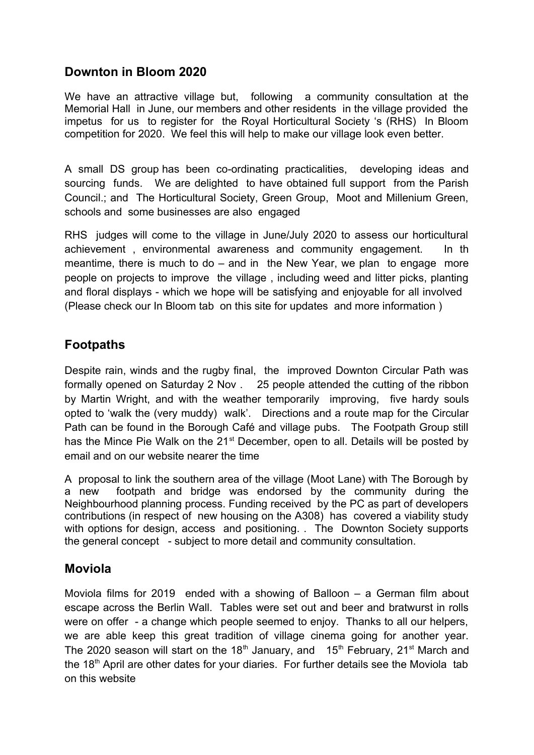## **Downton in Bloom 2020**

We have an attractive village but, following a community consultation at the Memorial Hall in June, our members and other residents in the village provided the impetus for us to register for the Royal Horticultural Society 's (RHS) In Bloom competition for 2020. We feel this will help to make our village look even better.

A small DS group has been co-ordinating practicalities, developing ideas and sourcing funds. We are delighted to have obtained full support from the Parish Council.; and The Horticultural Society, Green Group, Moot and Millenium Green, schools and some businesses are also engaged

RHS judges will come to the village in June/July 2020 to assess our horticultural achievement , environmental awareness and community engagement. In th meantime, there is much to do – and in the New Year, we plan to engage more people on projects to improve the village , including weed and litter picks, planting and floral displays - which we hope will be satisfying and enjoyable for all involved (Please check our In Bloom tab on this site for updates and more information )

# **Footpaths**

Despite rain, winds and the rugby final, the improved Downton Circular Path was formally opened on Saturday 2 Nov . 25 people attended the cutting of the ribbon by Martin Wright, and with the weather temporarily improving, five hardy souls opted to 'walk the (very muddy) walk'. Directions and a route map for the Circular Path can be found in the Borough Café and village pubs. The Footpath Group still has the Mince Pie Walk on the 21<sup>st</sup> December, open to all. Details will be posted by email and on our website nearer the time

A proposal to link the southern area of the village (Moot Lane) with The Borough by a new footpath and bridge was endorsed by the community during the Neighbourhood planning process. Funding received by the PC as part of developers contributions (in respect of new housing on the A308) has covered a viability study with options for design, access and positioning. . The Downton Society supports the general concept - subject to more detail and community consultation.

## **Moviola**

Moviola films for 2019 ended with a showing of Balloon – a German film about escape across the Berlin Wall. Tables were set out and beer and bratwurst in rolls were on offer - a change which people seemed to enjoy. Thanks to all our helpers, we are able keep this great tradition of village cinema going for another year. The 2020 season will start on the 18<sup>th</sup> January, and  $15<sup>th</sup>$  February, 21<sup>st</sup> March and the 18<sup>th</sup> April are other dates for your diaries. For further details see the Moviola tab on this website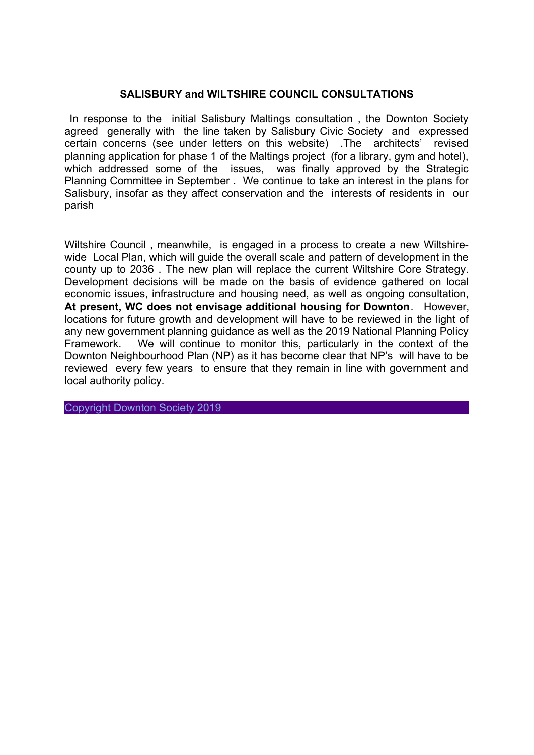#### **SALISBURY and WILTSHIRE COUNCIL CONSULTATIONS**

 In response to the initial Salisbury Maltings consultation , the Downton Society agreed generally with the line taken by Salisbury Civic Society and expressed certain concerns (see under letters on this website) .The architects' revised planning application for phase 1 of the Maltings project (for a library, gym and hotel), which addressed some of the issues, was finally approved by the Strategic Planning Committee in September . We continue to take an interest in the plans for Salisbury, insofar as they affect conservation and the interests of residents in our parish

Wiltshire Council , meanwhile, is engaged in a process to create a new Wiltshirewide Local Plan, which will guide the overall scale and pattern of development in the county up to 2036 . The new plan will replace the current Wiltshire Core Strategy. Development decisions will be made on the basis of evidence gathered on local economic issues, infrastructure and housing need, as well as ongoing consultation, **At present, WC does not envisage additional housing for Downton**. However, locations for future growth and development will have to be reviewed in the light of any new government planning guidance as well as the 2019 National Planning Policy Framework. We will continue to monitor this, particularly in the context of the Downton Neighbourhood Plan (NP) as it has become clear that NP's will have to be reviewed every few years to ensure that they remain in line with government and local authority policy.

Copyright Downton Society 2019